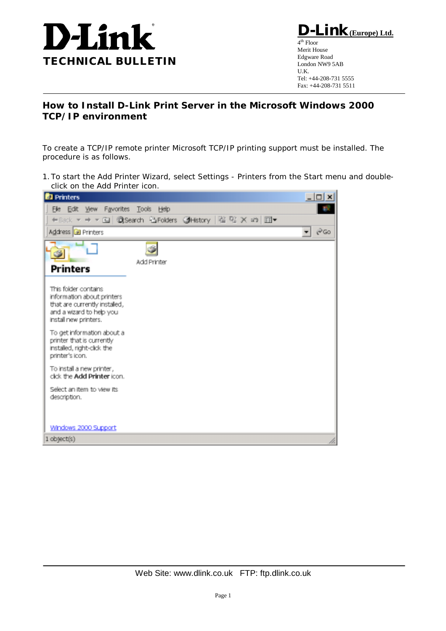

**D-Link(Europe) Ltd.**  $4<sup>th</sup>$  Floor Merit House Edgware Road London NW9 5AB U.K. Tel: +44-208-731 5555 Fax: +44-208-731 5511

## **How to Install D-Link Print Server in the Microsoft Windows 2000 TCP/IP environment**

To create a TCP/IP remote printer Microsoft TCP/IP printing support must be installed. The procedure is as follows.

1.To start the Add Printer Wizard, select Settings - Printers from the Start menu and doubleclick on the Add Printer icon.

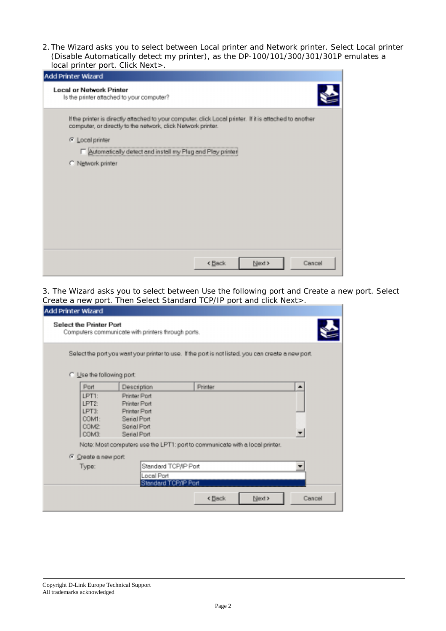2.The Wizard asks you to select between Local printer and Network printer. Select Local printer (Disable Automatically detect my printer), as the DP-100/101/300/301/301P emulates a local printer port. Click Next>.

| Add Printer Wizard                                                                                                                                                      |
|-------------------------------------------------------------------------------------------------------------------------------------------------------------------------|
| <b>Local or Network Printer</b><br>Is the printer attached to your computer?                                                                                            |
| If the printer is directly attached to your computer, click Local printer. If it is attached to another<br>computer, or directly to the network, click Network printer. |
| G Local printer                                                                                                                                                         |
| Automatically detect and install my Plug and Play printer                                                                                                               |
| C Network printer                                                                                                                                                       |
| Next ><br>< Back<br>Cancel                                                                                                                                              |

3. The Wizard asks you to select between Use the following port and Create a new port. Select Create a new port. Then Select Standard TCP/IP port and click Next>.

| Add Printer Wizard                                 |                                                                                                     |         |        |        |
|----------------------------------------------------|-----------------------------------------------------------------------------------------------------|---------|--------|--------|
|                                                    | <b>Select the Printer Port</b><br>Computers communicate with printers through ports.                |         |        |        |
|                                                    | Select the port you want your printer to use. If the port is not listed, you can create a new port. |         |        |        |
| C Use the following port                           |                                                                                                     |         |        |        |
| Port                                               | Description                                                                                         | Printer |        | ۰      |
| LPT1:<br>LPT2:<br>LPT3:<br>COM1:<br>COM2:<br>COM3: | Printer Port<br>Printer Port<br>Printer Port<br>Serial Port<br>Serial Port<br>Serial Port           |         |        |        |
|                                                    | Note: Most computers use the LPT1: port to communicate with a local printer.                        |         |        |        |
| C Create a new port                                |                                                                                                     |         |        |        |
| Type:                                              | Standard TCP/IP Port                                                                                |         |        |        |
|                                                    | Local Port<br>Standard TCP/IP Port                                                                  |         |        |        |
|                                                    |                                                                                                     | < Back  | Next > | Cancel |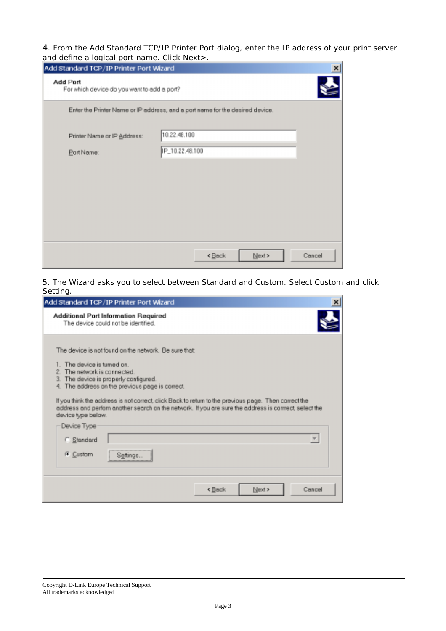4. From the Add Standard TCP/IP Printer Port dialog, enter the IP address of your print server and define a logical port name. Click Next>.

| Add Standard TCP/IP Printer Port Wizard                 |                                                                               | $\times$ |
|---------------------------------------------------------|-------------------------------------------------------------------------------|----------|
| Add Port<br>For which device do you want to add a port? |                                                                               |          |
|                                                         | Enter the Printer Name or IP address, and a port name for the desired device. |          |
| Printer Name or IP Address:                             | 10.22.48.100                                                                  |          |
| Port Name:                                              | IP_10.22.48.100                                                               |          |
|                                                         |                                                                               |          |
|                                                         |                                                                               |          |
|                                                         |                                                                               |          |
|                                                         |                                                                               |          |
|                                                         | Next ><br><back< td=""><td>Cancel</td></back<>                                | Cancel   |

5. The Wizard asks you to select between Standard and Custom. Select Custom and click Setting.

| Add Standard TCP/IP Printer Port Wizard                                                                                                                                                                                                                                                                                                           |                                                                                                        |
|---------------------------------------------------------------------------------------------------------------------------------------------------------------------------------------------------------------------------------------------------------------------------------------------------------------------------------------------------|--------------------------------------------------------------------------------------------------------|
| Additional Port Information Required<br>The device could not be identified.                                                                                                                                                                                                                                                                       |                                                                                                        |
| The device is not found on the network. Be sure that:<br>1. The device is turned on.<br>The network is connected.<br>The device is properly configured.<br>з.<br>The address on the previous page is correct.<br>4.<br>If you think the address is not correct, click Back to return to the previous page. Then correct the<br>device type below. | address and perform another search on the network. If you are sure the address is corrrect, select the |
| Device Type                                                                                                                                                                                                                                                                                                                                       |                                                                                                        |
| C Standard                                                                                                                                                                                                                                                                                                                                        |                                                                                                        |
| G Custam<br>Settings                                                                                                                                                                                                                                                                                                                              |                                                                                                        |
|                                                                                                                                                                                                                                                                                                                                                   | Next ><br>Cancel<br>⊀ Back                                                                             |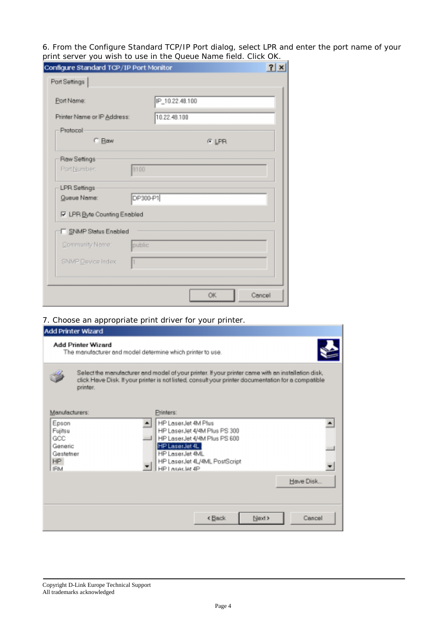6. From the Configure Standard TCP/IP Port dialog, select LPR and enter the port name of your print server you wish to use in the Queue Name field. Click OK.

| Configure Standard TCP/IP Port Monitor |                 | 2 x |
|----------------------------------------|-----------------|-----|
| Port Settings                          |                 |     |
| Port Name:                             | IP_10.22.48.100 |     |
| Printer Name or IP Address:            | 10.22.48.100    |     |
| Pratocol                               |                 |     |
| C Baw                                  | ় LPR           |     |
| Raw Settings                           |                 |     |
| Part Number:                           | 9100            |     |
| <b>LPR Settings</b>                    |                 |     |
| Queue Name:                            | DP300-P1        |     |
| <b>IV</b> LPR Byte Counting Enabled    |                 |     |
| SNMP Status Enabled                    |                 |     |
| Community Name:                        | public          |     |
| SNMP Device Index:                     |                 |     |
|                                        |                 |     |
|                                        | OK<br>Cancel    |     |

## 7. Choose an appropriate print driver for your printer.

| Add Printer Wizard                                                                      |                                                                                                                                                                                                           |
|-----------------------------------------------------------------------------------------|-----------------------------------------------------------------------------------------------------------------------------------------------------------------------------------------------------------|
| <b>Add Printer Wizard</b><br>The manufacturer and model determine which printer to use. |                                                                                                                                                                                                           |
| printer.                                                                                | Select the manufacturer and model of your printer. If your printer came with an installation disk,<br>click Heve Disk. If your printer is not listed, consult your printer documentation for a compatible |
| Manufacturers:                                                                          | Printers:                                                                                                                                                                                                 |
| Epson<br>Fujitsu<br>GCC<br>Generic<br>Gestetner<br>HP.<br>IRM                           | HP LaserJet 4M Plus<br>HP LaserJet 4/4M Plus PS 300<br>HP LaserJet 4/4M Plus PS 600<br>HP LaserJet 4L<br>HP LaserJet 4ML<br>HP LaserJet 4L/4ML PostScript<br>HP Leser, let 4P                             |
|                                                                                         | Have Disk                                                                                                                                                                                                 |
|                                                                                         | Next ><br>< Back<br>Cancel                                                                                                                                                                                |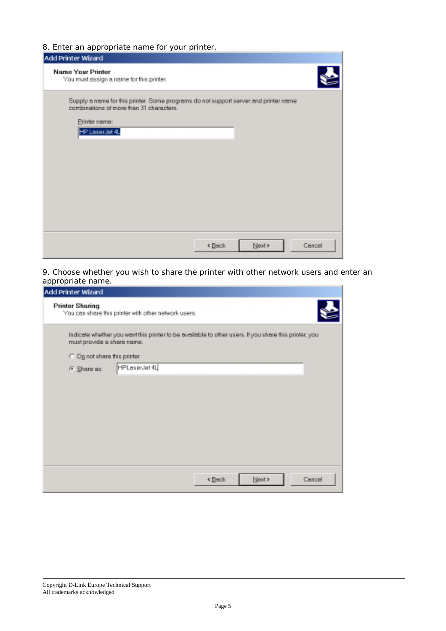## 8. Enter an appropriate name for your printer.

| .<br>Add Printer Wizard                                                                                                          |                                   |
|----------------------------------------------------------------------------------------------------------------------------------|-----------------------------------|
| <b>Name Your Printer</b><br>You must assign a name for this printer.                                                             |                                   |
| Supply a name for this printer. Some programs do not support server and printer name<br>combinations of more than 31 characters. |                                   |
| Printer name:                                                                                                                    |                                   |
| HP LaserJet 4L                                                                                                                   |                                   |
|                                                                                                                                  |                                   |
|                                                                                                                                  |                                   |
|                                                                                                                                  |                                   |
|                                                                                                                                  |                                   |
|                                                                                                                                  |                                   |
|                                                                                                                                  |                                   |
|                                                                                                                                  |                                   |
|                                                                                                                                  |                                   |
|                                                                                                                                  |                                   |
|                                                                                                                                  | Next<br><back<br>Cancel</back<br> |
|                                                                                                                                  |                                   |

9. Choose whether you wish to share the printer with other network users and enter an appropriate name.

| Add Printer Wizard<br><b>Printer Sharing</b> |                                                                                                       |
|----------------------------------------------|-------------------------------------------------------------------------------------------------------|
|                                              | You can share this printer with other network users.                                                  |
| must provide a share name.                   | Indicate whether you want this printer to be available to other users. If you share this printer, you |
| C Do not share this printer                  |                                                                                                       |
| G Share as:                                  | HPLaserJet 4L                                                                                         |
|                                              |                                                                                                       |
|                                              |                                                                                                       |
|                                              |                                                                                                       |
|                                              |                                                                                                       |
|                                              |                                                                                                       |
|                                              |                                                                                                       |
|                                              |                                                                                                       |
|                                              |                                                                                                       |
|                                              | <back<br>Next &gt;<br/>Cancel</back<br>                                                               |
|                                              |                                                                                                       |